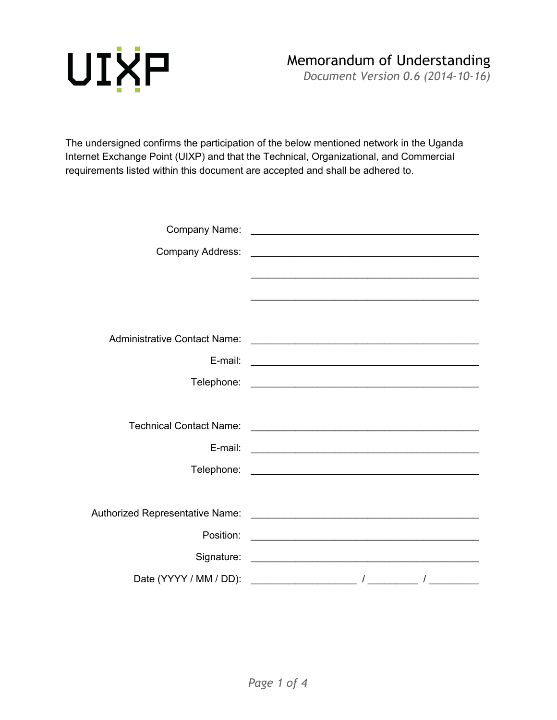

*Document Version 0.6 (2014-10-16)*

The undersigned confirms the participation of the below mentioned network in the Uganda Internet Exchange Point (UIXP) and that the Technical, Organizational, and Commercial requirements listed within this document are accepted and shall be adhered to.

| <b>Company Address:</b>             | <u> 1989 - Johann John Stone, markin amerikan basar dan berkembang dan berkembang dan berkembang dan berkembang da</u>                                                                                                               |
|-------------------------------------|--------------------------------------------------------------------------------------------------------------------------------------------------------------------------------------------------------------------------------------|
|                                     |                                                                                                                                                                                                                                      |
|                                     |                                                                                                                                                                                                                                      |
|                                     |                                                                                                                                                                                                                                      |
| <b>Administrative Contact Name:</b> |                                                                                                                                                                                                                                      |
| E-mail:                             | <u> 2000 - 2000 - 2000 - 2000 - 2000 - 2000 - 2000 - 2000 - 2000 - 2000 - 2000 - 2000 - 2000 - 2000 - 2000 - 200</u>                                                                                                                 |
|                                     |                                                                                                                                                                                                                                      |
|                                     |                                                                                                                                                                                                                                      |
| <b>Technical Contact Name:</b>      | <u> 1989 - Johann Barn, mars ann an t-Amhain an t-Amhain ann an t-Amhain an t-Amhain an t-Amhain an t-Amhain an t-</u>                                                                                                               |
|                                     |                                                                                                                                                                                                                                      |
|                                     |                                                                                                                                                                                                                                      |
|                                     |                                                                                                                                                                                                                                      |
|                                     |                                                                                                                                                                                                                                      |
|                                     |                                                                                                                                                                                                                                      |
| Position:                           | <u> 1989 - Johann John Stein, market fan it fjort fan it fjort fan it fjort fan it fjort fan it fjort fan it fjort fan it fjort fan it fjort fan it fjort fan it fjort fan it fjort fan it fjort fan it fjort fan it fjort fan i</u> |
|                                     |                                                                                                                                                                                                                                      |
|                                     |                                                                                                                                                                                                                                      |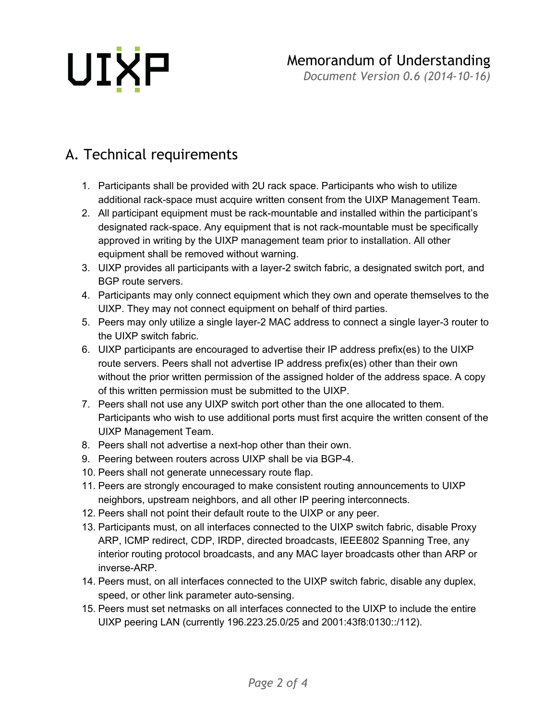# UIXP

#### Memorandum of Understanding

*Document Version 0.6 (2014-10-16)*

### A. Technical requirements

- 1. Participants shall be provided with 2U rack space. Participants who wish to utilize additional rack-space must acquire written consent from the UIXP Management Team.
- 2. All participant equipment must be rack-mountable and installed within the participant's designated rack-space. Any equipment that is not rack-mountable must be specifically approved in writing by the UIXP management team prior to installation. All other equipment shall be removed without warning.
- 3. UIXP provides all participants with a layer-2 switch fabric, a designated switch port, and BGP route servers.
- 4. Participants may only connect equipment which they own and operate themselves to the UIXP. They may not connect equipment on behalf of third parties.
- 5. Peers may only utilize a single layer-2 MAC address to connect a single layer-3 router to the UIXP switch fabric.
- 6. UIXP participants are encouraged to advertise their IP address prefix(es) to the UIXP route servers. Peers shall not advertise IP address prefix(es) other than their own without the prior written permission of the assigned holder of the address space. A copy of this written permission must be submitted to the UIXP.
- 7. Peers shall not use any UIXP switch port other than the one allocated to them. Participants who wish to use additional ports must first acquire the written consent of the UIXP Management Team.
- 8. Peers shall not advertise a next-hop other than their own.
- 9. Peering between routers across UIXP shall be via BGP-4.
- 10. Peers shall not generate unnecessary route flap.
- 11. Peers are strongly encouraged to make consistent routing announcements to UIXP neighbors, upstream neighbors, and all other IP peering interconnects.
- 12. Peers shall not point their default route to the UIXP or any peer.
- 13. Participants must, on all interfaces connected to the UIXP switch fabric, disable Proxy ARP, ICMP redirect, CDP, IRDP, directed broadcasts, IEEE802 Spanning Tree, any interior routing protocol broadcasts, and any MAC layer broadcasts other than ARP or inverse-ARP.
- 14. Peers must, on all interfaces connected to the UIXP switch fabric, disable any duplex, speed, or other link parameter auto-sensing.
- 15. Peers must set netmasks on all interfaces connected to the UIXP to include the entire UIXP peering LAN (currently 196.223.25.0/25 and 2001:43f8:0130::/112).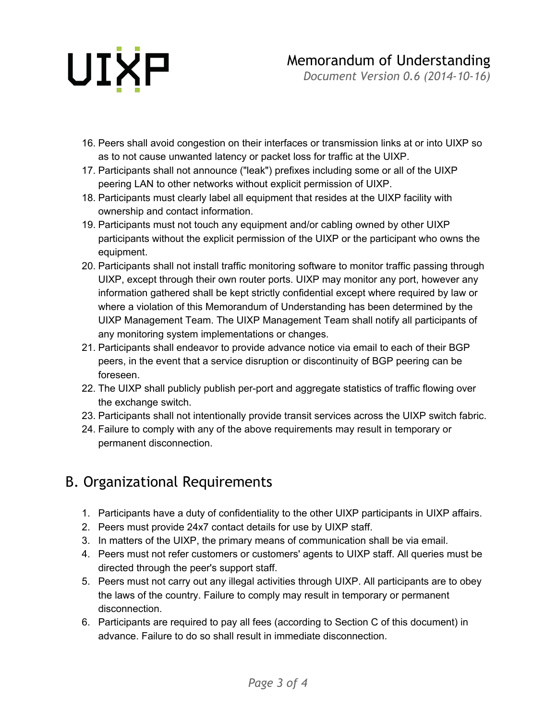# UIXP

*Document Version 0.6 (2014-10-16)*

- 16. Peers shall avoid congestion on their interfaces or transmission links at or into UIXP so as to not cause unwanted latency or packet loss for traffic at the UIXP.
- 17. Participants shall not announce ("leak") prefixes including some or all of the UIXP peering LAN to other networks without explicit permission of UIXP.
- 18. Participants must clearly label all equipment that resides at the UIXP facility with ownership and contact information.
- 19. Participants must not touch any equipment and/or cabling owned by other UIXP participants without the explicit permission of the UIXP or the participant who owns the equipment.
- 20. Participants shall not install traffic monitoring software to monitor traffic passing through UIXP, except through their own router ports. UIXP may monitor any port, however any information gathered shall be kept strictly confidential except where required by law or where a violation of this Memorandum of Understanding has been determined by the UIXP Management Team. The UIXP Management Team shall notify all participants of any monitoring system implementations or changes.
- 21. Participants shall endeavor to provide advance notice via email to each of their BGP peers, in the event that a service disruption or discontinuity of BGP peering can be foreseen.
- 22. The UIXP shall publicly publish per-port and aggregate statistics of traffic flowing over the exchange switch.
- 23. Participants shall not intentionally provide transit services across the UIXP switch fabric.
- 24. Failure to comply with any of the above requirements may result in temporary or permanent disconnection.

### B. Organizational Requirements

- 1. Participants have a duty of confidentiality to the other UIXP participants in UIXP affairs.
- 2. Peers must provide 24x7 contact details for use by UIXP staff.
- 3. In matters of the UIXP, the primary means of communication shall be via email.
- 4. Peers must not refer customers or customers' agents to UIXP staff. All queries must be directed through the peer's support staff.
- 5. Peers must not carry out any illegal activities through UIXP. All participants are to obey the laws of the country. Failure to comply may result in temporary or permanent disconnection.
- 6. Participants are required to pay all fees (according to Section C of this document) in advance. Failure to do so shall result in immediate disconnection.